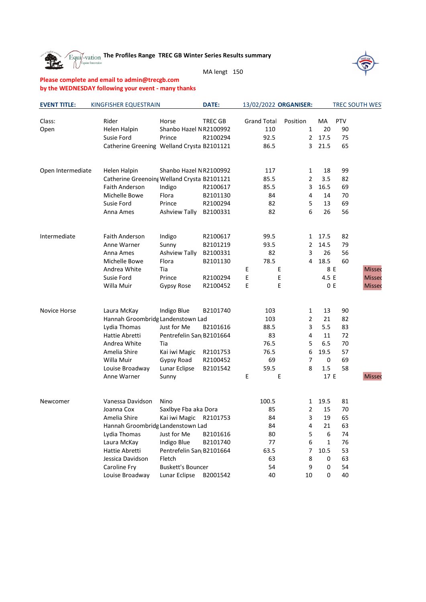**Transformal The Profiles Range TREC GB Winter Series Results summary**<br>Cappendic management of the Profiles Range TREC GB Winter Series Results summary 雅





## **Please complete and email to admin@trecgb.com by the WEDNESDAY following your event - many thanks**

| <b>EVENT TITLE:</b> | KINGFISHER EQUESTRAIN                       |                          | <b>DATE:</b>   | 13/02/2022 ORGANISER: |                |       |     | TREC SOUTH WEST |
|---------------------|---------------------------------------------|--------------------------|----------------|-----------------------|----------------|-------|-----|-----------------|
| Class:              | Rider                                       | Horse                    | <b>TREC GB</b> | <b>Grand Total</b>    | Position       | MA    | PTV |                 |
| Open                | Helen Halpin                                | Shanbo Hazel NR2100992   |                | 110                   | $\mathbf{1}$   | 20    | 90  |                 |
|                     | Susie Ford                                  | Prince                   | R2100294       | 92.5                  | $\overline{2}$ | 17.5  | 75  |                 |
|                     | Catherine Greening Welland Crysta B2101121  |                          |                | 86.5                  | 3              | 21.5  | 65  |                 |
|                     |                                             |                          |                |                       |                |       |     |                 |
| Open Intermediate   | Helen Halpin                                | Shanbo Hazel NR2100992   |                | 117                   | 1              | 18    | 99  |                 |
|                     | Catherine Greenoing Welland Crysta B2101121 |                          |                | 85.5                  | $\overline{2}$ | 3.5   | 82  |                 |
|                     | <b>Faith Anderson</b>                       | Indigo                   | R2100617       | 85.5                  | 3              | 16.5  | 69  |                 |
|                     | Michelle Bowe                               | Flora                    | B2101130       | 84                    | $\overline{4}$ | 14    | 70  |                 |
|                     | Susie Ford                                  | Prince                   | R2100294       | 82                    | 5              | 13    | 69  |                 |
|                     | Anna Ames                                   | Ashview Tally            | B2100331       | 82                    | 6              | 26    | 56  |                 |
| Intermediate        | <b>Faith Anderson</b>                       | Indigo                   | R2100617       | 99.5                  | $\mathbf{1}$   | 17.5  | 82  |                 |
|                     | Anne Warner                                 | Sunny                    | B2101219       | 93.5                  | 2              | 14.5  | 79  |                 |
|                     | Anna Ames                                   | Ashview Tally            | B2100331       | 82                    | 3              | 26    | 56  |                 |
|                     | Michelle Bowe                               | Flora                    | B2101130       | 78.5                  | 4              | 18.5  | 60  |                 |
|                     | Andrea White                                | Tia                      |                | E                     | E              | 8 E   |     | Missed          |
|                     | Susie Ford                                  | Prince                   | R2100294       | E                     | E              | 4.5 E |     | Missed          |
|                     | Willa Muir                                  | Gypsy Rose               | R2100452       | E                     | E              | 0E    |     | <b>Missed</b>   |
|                     |                                             |                          |                |                       |                |       |     |                 |
| Novice Horse        | Laura McKay                                 | Indigo Blue              | B2101740       | 103                   | $\mathbf{1}$   | 13    | 90  |                 |
|                     | Hannah Groombridg Landenstown Lad           |                          |                | 103                   | 2              | 21    | 82  |                 |
|                     | Lydia Thomas                                | Just for Me              | B2101616       | 88.5                  | 3              | 5.5   | 83  |                 |
|                     | Hattie Abretti                              | Pentrefelin San B2101664 |                | 83                    | 4              | 11    | 72  |                 |
|                     | Andrea White                                | Tia                      |                | 76.5                  | 5              | 6.5   | 70  |                 |
|                     | Amelia Shire                                | Kai iwi Magic            | R2101753       | 76.5                  | 6              | 19.5  | 57  |                 |
|                     | Willa Muir                                  | Gypsy Road               | R2100452       | 69                    | 7              | 0     | 69  |                 |
|                     | Louise Broadway                             | Lunar Eclipse            | B2101542       | 59.5                  | 8              | 1.5   | 58  |                 |
|                     | Anne Warner                                 | Sunny                    |                | E                     | Ε              | 17 E  |     | Missed          |
| Newcomer            | Vanessa Davidson                            | Nino                     |                | 100.5                 | 1              | 19.5  | 81  |                 |
|                     | Joanna Cox                                  | Saxlbye Fba aka Dora     |                | 85                    | 2              | 15    | 70  |                 |
|                     | Amelia Shire                                | Kai iwi Magic            | R2101753       | 84                    | 3              | 19    | 65  |                 |
|                     | Hannah Groombridg Landenstown Lad           |                          |                | 84                    | 4              | 21    | 63  |                 |
|                     | Lydia Thomas                                | Just for Me              | B2101616       | 80                    | 5              | 6     | 74  |                 |
|                     | Laura McKay                                 | Indigo Blue              | B2101740       | 77                    | 6              | 1     | 76  |                 |
|                     | Hattie Abretti                              | Pentrefelin San B2101664 |                | 63.5                  | 7              | 10.5  | 53  |                 |
|                     | Jessica Davidson                            | Fletch                   |                | 63                    | 8              | 0     | 63  |                 |
|                     | Caroline Fry                                | <b>Buskett's Bouncer</b> |                | 54                    | 9              | 0     | 54  |                 |
|                     | Louise Broadway                             | Lunar Eclipse            | B2001542       | 40                    | 10             | 0     | 40  |                 |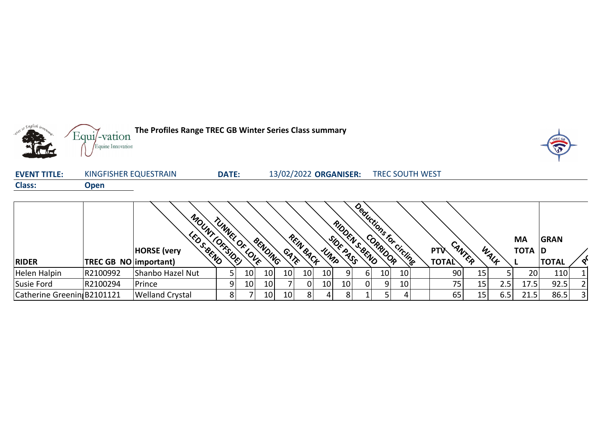

| <b>EVENT TITLE:</b> | KINGFISHER EQUESTRAIN | DATE: | 13/02/2022 ORGANISER: | <b>TREC SOUTH WEST</b> |  |
|---------------------|-----------------------|-------|-----------------------|------------------------|--|
| <b>Class:</b>       | Open                  |       |                       |                        |  |
|                     |                       |       |                       |                        |  |

|                            |                       | MOUNT                         | TUNNEI         | $^{\circ}$  |                 |                 |                 |      | <b>RID</b><br>$\delta_{\rm 1/2}$ |     |                 | Deductions for circling |              |        |      | МA              | <b>GRAN</b>  |                |
|----------------------------|-----------------------|-------------------------------|----------------|-------------|-----------------|-----------------|-----------------|------|----------------------------------|-----|-----------------|-------------------------|--------------|--------|------|-----------------|--------------|----------------|
|                            |                       | S. BEND<br><b>HORSE</b> (very | <b>OFFSIDE</b> | <b>SOLR</b> | BENDING         | GATE            | REIN BACK       | UNTO | <b>PRACTION</b>                  |     |                 |                         | <b>PTV</b>   | CANTER | WALF | TOTA D          |              |                |
| <b>RIDER</b>               | TREC GB NO important) |                               |                |             |                 |                 |                 |      |                                  |     |                 |                         | <b>TOTAL</b> |        |      |                 | <b>TOTAL</b> |                |
| Helen Halpin               | R2100992              | Shanbo Hazel Nut              |                | 10          | 10              | 10              | 10 <sub>1</sub> | 10   |                                  | b   | 10 <sup>1</sup> | 10                      | 90           | 15     |      | 20 <sup>1</sup> | 110          |                |
| Susie Ford                 | R2100294              | Prince                        |                | 10          | 10              |                 |                 | 10   | 10                               | 0 I | q               | 10 <sub>1</sub>         | 75           | 15     | 2.5  | 17.5            | 92.5         |                |
| Catherine Greenin B2101121 |                       | <b>Welland Crystal</b>        |                |             | 10 <sub>1</sub> | 10 <sub>1</sub> | 8               |      | 8                                |     |                 |                         | 65           | 15     | 6.5  | 21.5            | 86.5         | 3 <sup>1</sup> |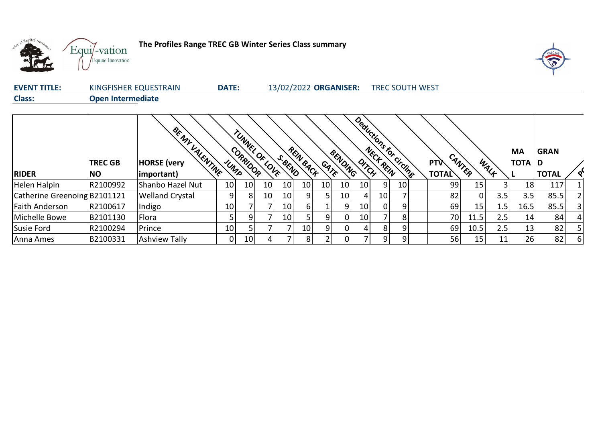

**The Profiles Range TREC GB Winter Series Class summary**



| <b>EVENT TITLE:</b> | KINGFISHER EQUESTRAIN | <b>DATE:</b> | 13/02/2022 ORGANISER: | <b>TREC SOUTH WEST</b> |
|---------------------|-----------------------|--------------|-----------------------|------------------------|
| <b>Class:</b>       | Open Intermediate     |              |                       |                        |

|                              | <b>TREC GB</b> | BE NY VALENTINE<br><b>HORSE</b> (very |                 | TUNNEL OF LOVE<br>CORRIDOR |    | S. BEND         | REIN BACK |      | BENDING |    |    | Deductions for circling | <b>PTV</b>   | CANTER |      | <b>MA</b><br>TOTA D | <b>GRAN</b>  |   |
|------------------------------|----------------|---------------------------------------|-----------------|----------------------------|----|-----------------|-----------|------|---------|----|----|-------------------------|--------------|--------|------|---------------------|--------------|---|
| <b>RIDER</b>                 | <b>NO</b>      | important)                            | UMPS            |                            |    |                 |           | GATE |         |    |    |                         | <b>TOTAL</b> |        | WALF |                     | <b>TOTAL</b> |   |
| Helen Halpin                 | R2100992       | Shanbo Hazel Nut                      | 10              | 10                         | 10 | 10 <sup>1</sup> | 10        | 10   | 10      | 10 | 9  | 10 <sub>1</sub>         | 99           | 15     |      | 18                  | 117          |   |
| Catherine Greenoing B2101121 |                | <b>Welland Crystal</b>                | 9               | 8                          | 10 | 10 <sup>1</sup> | 9         | 5    | 10      | 4  | 10 |                         | 82           |        | 3.5  | 3.5                 | 85.5         |   |
| Faith Anderson               | R2100617       | Indigo                                | 10 <sub>l</sub> |                            |    | 10              | 6         |      | 9       | 10 |    | Q                       | 69           | 15     | 1.5  | 16.5                | 85.5         |   |
| Michelle Bowe                | B2101130       | Flora                                 | 5               | 91                         |    | 10 <sup>1</sup> |           | 9    | 0       | 10 |    |                         | 70           | 11.5   | 2.5  | 14                  | 84           |   |
| Susie Ford                   | R2100294       | Prince                                | 10              |                            |    |                 | 10        | 9    | 0       | 4  | 8  | a                       | 69           | 10.5   | 2.5  | 13 <sub>1</sub>     | 82           |   |
| Anna Ames                    | B2100331       | <b>Ashview Tally</b>                  | 0               | 10 <sup>1</sup>            | 4  |                 | 8         | 2    | 0       |    | 9  | Q                       | 56           | 15     | 11   | 26                  | 82           | 6 |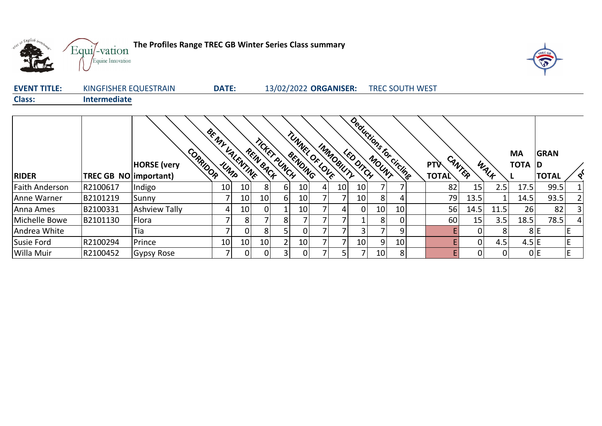



| <b>EVENT TITLE:</b> | KINGFISHER EQUESTRAIN | <b>DATE:</b> | 13/02/2022 ORGANISER: | <b>TREC SOUTH WEST</b> |
|---------------------|-----------------------|--------------|-----------------------|------------------------|
| <b>Class:</b>       | <b>Intermediate</b>   |              |                       |                        |

|                       |                        | CORRIDOR<br><b>HORSE</b> (very |    | BE NY VALENTINE | REIN BACK       | TICKET PUNCH   | BENDING         | TUNNEL OF LOVE | IMMOBILITY | Deductions for circling<br><b>LED DITCH</b> |                 |                 | <b>PTV</b>   | CANTER   | WALK | <b>MA</b><br>TOTA D | <b>GRAN</b>     |   |
|-----------------------|------------------------|--------------------------------|----|-----------------|-----------------|----------------|-----------------|----------------|------------|---------------------------------------------|-----------------|-----------------|--------------|----------|------|---------------------|-----------------|---|
| <b>RIDER</b>          | TREC GB NO limportant) |                                |    |                 |                 |                |                 |                |            |                                             |                 |                 | <b>TOTAL</b> |          |      |                     | <b>TOTAL</b>    |   |
| <b>Faith Anderson</b> | R2100617               | Indigo                         | 10 | 10              | 8               | 6 <sup>1</sup> | 10 <sub>l</sub> | 4              | 10         | 10                                          |                 |                 | 82           | 15       | 2.5  | 17.5                | 99.5            |   |
| Anne Warner           | B2101219               | Sunny                          |    | 10              | 10 <sup>1</sup> | 6 <sup>1</sup> | 10              |                |            | 10                                          | 8 <sup>1</sup>  |                 | 79           | 13.5     |      | 14.5                | 93.5            |   |
| Anna Ames             | B2100331               | <b>Ashview Tally</b>           | 4  | 10              | 0               |                | 10              |                | 4          | 0                                           | 10 <sub>1</sub> | 10              | 56           | 14.5     | 11.5 | 26                  | 82              |   |
| Michelle Bowe         | B2101130               | Flora                          |    | 8               |                 | 81             |                 |                |            |                                             | 8               |                 | 60           | 15       | 3.5  | 18.5                | 78.5            |   |
| Andrea White          |                        | Tia                            |    |                 | 8               |                | $\overline{0}$  |                |            | 3                                           |                 | 9               |              |          | 8    |                     | 8E              | E |
| Susie Ford            | R2100294               | Prince                         | 10 | 10              | 10 <sup>1</sup> | $\overline{2}$ | 10              |                |            | 10                                          | 9               | 10 <sub>1</sub> |              | $\Omega$ | 4.5  | $4.5 \text{ }E$     |                 | E |
| Willa Muir            | R2100452               | Gypsy Rose                     |    | 0               | $\overline{0}$  | 3 <sup>1</sup> | $\overline{0}$  |                | 5.         |                                             | 10 <sub>1</sub> | 8               |              | 0        | 0    |                     | 0 <sup>IE</sup> | E |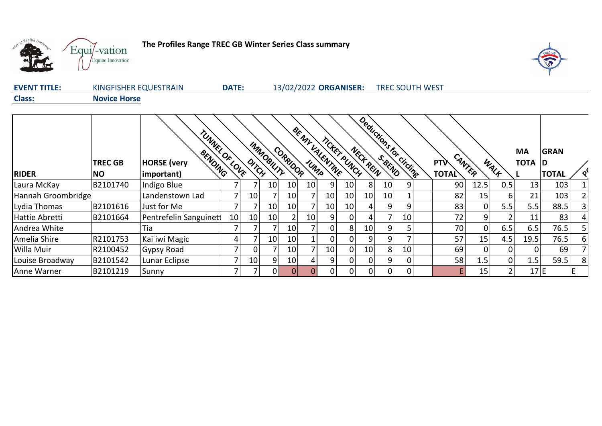

**The Profiles Range TREC GB Winter Series Class summary**



| <b>EVENT TITLE:</b> | KINGFISHER EQUESTRAIN | <b>DATE:</b> | 13/02/2022 ORGANISER: | <b>TREC SOUTH WEST</b> |
|---------------------|-----------------------|--------------|-----------------------|------------------------|
| <b>Class:</b>       | <b>Novice Horse</b>   |              |                       |                        |

|                    | <b>TREC GB</b> | TUNNEL OF LOVE                              |    |       | MMOBILITY       | CORRIDOR        | BE NY VALENTINE | TICKET PUNCH    |                 | Deductions for circling<br>NECK REIN |                 |    | <b>PTV</b>   |        |                | <b>MA</b><br><b>TOTA D</b> | <b>GRAN</b>  |   |
|--------------------|----------------|---------------------------------------------|----|-------|-----------------|-----------------|-----------------|-----------------|-----------------|--------------------------------------|-----------------|----|--------------|--------|----------------|----------------------------|--------------|---|
| <b>RIDER</b>       | NO.            | BENDING<br><b>HORSE</b> (very<br>important) |    | DITCH |                 |                 |                 |                 |                 |                                      |                 |    | <b>TOTAL</b> | CANTER | WALK           |                            | <b>TOTAL</b> |   |
| Laura McKay        | B2101740       | Indigo Blue                                 |    |       | 10              | 10 <sup>1</sup> | 10 <sub>l</sub> | 9               | 10              | 81                                   | 10 <sup>1</sup> | 9  | 90           | 12.5   | 0.5            | 13                         | 103          |   |
| Hannah Groombridge |                | Landenstown Lad                             |    | 10    |                 | 10 <sup>1</sup> |                 | 10              | 10 <sub>1</sub> | 10 <sup>1</sup>                      | 10 <sup>1</sup> |    | 82           | 15     | 6              | 21                         | 103          |   |
| Lydia Thomas       | B2101616       | Just for Me                                 |    |       | 10 <sup>1</sup> | 10 <sup>1</sup> |                 | 10              | 10 <sub>1</sub> | 4 <sub>1</sub>                       | 9               | 9  | 83           | 0      | 5.5            | 5.5                        | 88.5         |   |
| Hattie Abretti     | B2101664       | Pentrefelin Sanguinett                      | 10 | 10    | 10              |                 | 10 <sub>1</sub> | 9               | 0               | 4                                    |                 | 10 | 72           | 9      |                | 11                         | 83           |   |
| Andrea White       |                | Tia                                         |    |       |                 | 10 <sup>1</sup> |                 | 0               | 8               | 10                                   | 9               |    | 70           | 0      | 6.5            | 6.5                        | 76.5         |   |
| Amelia Shire       | R2101753       | Kai iwi Magic                               |    |       | 10 <sup>1</sup> | 10              |                 |                 |                 | 9                                    | 9               |    | 57           | 15     | 4.5            | 19.5                       | 76.5         | 6 |
| Willa Muir         | R2100452       | Gypsy Road                                  |    | 0     |                 | 10              |                 | 10 <sub>1</sub> | $\Omega$        | 10 <sup>1</sup>                      | 8 <sup>1</sup>  | 10 | 69           | 0      | ΟI             |                            | 69           |   |
| Louise Broadway    | B2101542       | Lunar Eclipse                               |    | 10    | 91              | 10              |                 | 9               | 0               | 01                                   | 9               | 0  | 58           | 1.5    | $\overline{0}$ | 1.5                        | 59.5         | 8 |
| <b>Anne Warner</b> | B2101219       | Sunny                                       |    |       | ΩI              | 0               |                 |                 | $\Omega$        | $\Omega$                             | $\Omega$        | 0  |              | 15     | $\overline{2}$ | 17E                        |              |   |